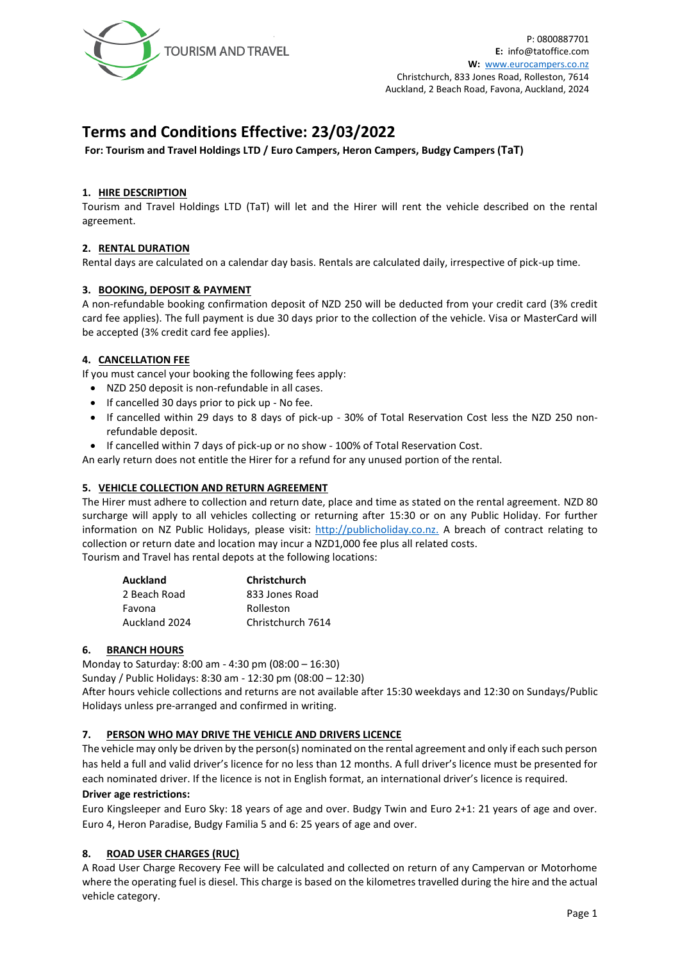

# **Terms and Conditions Effective: 23/03/2022**

**For: Tourism and Travel Holdings LTD / Euro Campers, Heron Campers, Budgy Campers (TaT)**

## **1. HIRE DESCRIPTION**

Tourism and Travel Holdings LTD (TaT) will let and the Hirer will rent the vehicle described on the rental agreement.

# **2. RENTAL DURATION**

Rental days are calculated on a calendar day basis. Rentals are calculated daily, irrespective of pick-up time.

#### **3. BOOKING, DEPOSIT & PAYMENT**

A non-refundable booking confirmation deposit of NZD 250 will be deducted from your credit card (3% credit card fee applies). The full payment is due 30 days prior to the collection of the vehicle. Visa or MasterCard will be accepted (3% credit card fee applies).

## **4. CANCELLATION FEE**

If you must cancel your booking the following fees apply:

- NZD 250 deposit is non-refundable in all cases.
- If cancelled 30 days prior to pick up No fee.
- If cancelled within 29 days to 8 days of pick-up 30% of Total Reservation Cost less the NZD 250 nonrefundable deposit.
- If cancelled within 7 days of pick-up or no show 100% of Total Reservation Cost.

An early return does not entitle the Hirer for a refund for any unused portion of the rental.

#### **5. VEHICLE COLLECTION AND RETURN AGREEMENT**

The Hirer must adhere to collection and return date, place and time as stated on the rental agreement. NZD 80 surcharge will apply to all vehicles collecting or returning after 15:30 or on any Public Holiday. For further information on NZ Public Holidays, please visit: [http://publicholiday.co.nz.](http://publicholiday.co.nz/) A breach of contract relating to collection or return date and location may incur a NZD1,000 fee plus all related costs. Tourism and Travel has rental depots at the following locations:

|  | . |  |  |  |  |
|--|---|--|--|--|--|

| <b>Christchurch</b> |  |  |  |
|---------------------|--|--|--|
| 833 Jones Road      |  |  |  |
| Rolleston           |  |  |  |
| Christchurch 7614   |  |  |  |
|                     |  |  |  |

#### **6. BRANCH HOURS**

Monday to Saturday: 8:00 am - 4:30 pm (08:00 – 16:30)

Sunday / Public Holidays: 8:30 am - 12:30 pm (08:00 – 12:30)

After hours vehicle collections and returns are not available after 15:30 weekdays and 12:30 on Sundays/Public Holidays unless pre-arranged and confirmed in writing.

#### **7. PERSON WHO MAY DRIVE THE VEHICLE AND DRIVERS LICENCE**

The vehicle may only be driven by the person(s) nominated on the rental agreement and only if each such person has held a full and valid driver's licence for no less than 12 months. A full driver's licence must be presented for each nominated driver. If the licence is not in English format, an international driver's licence is required. **Driver age restrictions:**

Euro Kingsleeper and Euro Sky: 18 years of age and over. Budgy Twin and Euro 2+1: 21 years of age and over. Euro 4, Heron Paradise, Budgy Familia 5 and 6: 25 years of age and over.

#### **8. ROAD USER CHARGES (RUC)**

A Road User Charge Recovery Fee will be calculated and collected on return of any Campervan or Motorhome where the operating fuel is diesel. This charge is based on the kilometres travelled during the hire and the actual vehicle category.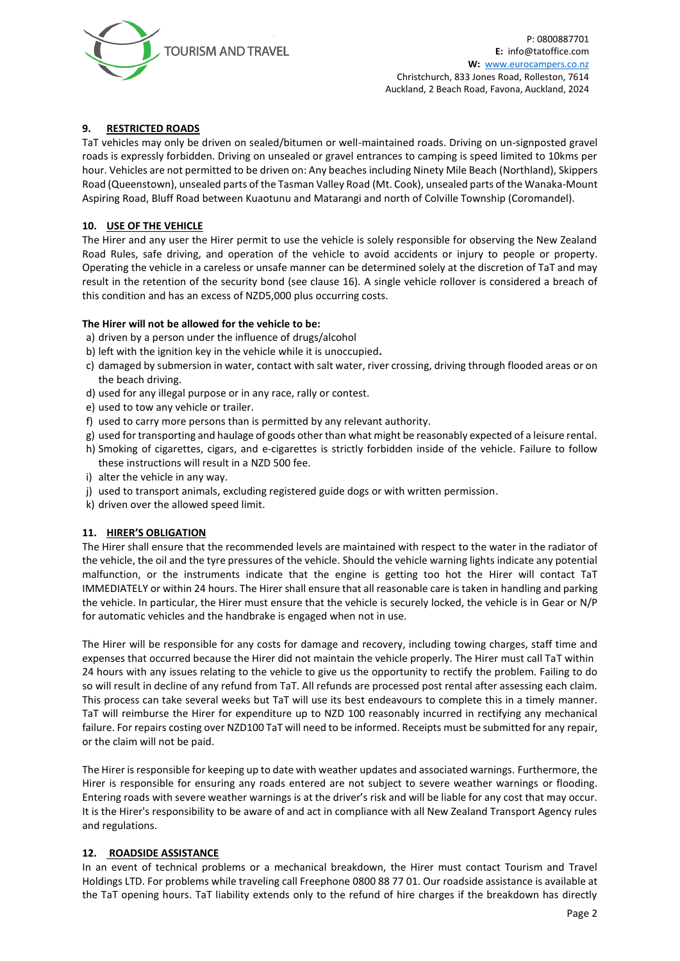

# **9. RESTRICTED ROADS**

TaT vehicles may only be driven on sealed/bitumen or well-maintained roads. Driving on un-signposted gravel roads is expressly forbidden. Driving on unsealed or gravel entrances to camping is speed limited to 10kms per hour. Vehicles are not permitted to be driven on: Any beaches including Ninety Mile Beach (Northland), Skippers Road (Queenstown), unsealed parts of the Tasman Valley Road (Mt. Cook), unsealed parts of the Wanaka-Mount Aspiring Road, Bluff Road between Kuaotunu and Matarangi and north of Colville Township (Coromandel).

#### **10. USE OF THE VEHICLE**

The Hirer and any user the Hirer permit to use the vehicle is solely responsible for observing the New Zealand Road Rules, safe driving, and operation of the vehicle to avoid accidents or injury to people or property. Operating the vehicle in a careless or unsafe manner can be determined solely at the discretion of TaT and may result in the retention of the security bond (see clause 16). A single vehicle rollover is considered a breach of this condition and has an excess of NZD5,000 plus occurring costs.

#### **The Hirer will not be allowed for the vehicle to be:**

- a) driven by a person under the influence of drugs/alcohol
- b) left with the ignition key in the vehicle while it is unoccupied**.**
- c) damaged by submersion in water, contact with salt water, river crossing, driving through flooded areas or on the beach driving.
- d) used for any illegal purpose or in any race, rally or contest.
- e) used to tow any vehicle or trailer.
- f) used to carry more persons than is permitted by any relevant authority.
- g) used for transporting and haulage of goods other than what might be reasonably expected of a leisure rental.
- h) Smoking of cigarettes, cigars, and e-cigarettes is strictly forbidden inside of the vehicle. Failure to follow these instructions will result in a NZD 500 fee.
- i) alter the vehicle in any way.
- j) used to transport animals, excluding registered guide dogs or with written permission.
- k) driven over the allowed speed limit.

#### **11. HIRER'S OBLIGATION**

The Hirer shall ensure that the recommended levels are maintained with respect to the water in the radiator of the vehicle, the oil and the tyre pressures of the vehicle. Should the vehicle warning lights indicate any potential malfunction, or the instruments indicate that the engine is getting too hot the Hirer will contact TaT IMMEDIATELY or within 24 hours. The Hirer shall ensure that all reasonable care is taken in handling and parking the vehicle. In particular, the Hirer must ensure that the vehicle is securely locked, the vehicle is in Gear or N/P for automatic vehicles and the handbrake is engaged when not in use.

The Hirer will be responsible for any costs for damage and recovery, including towing charges, staff time and expenses that occurred because the Hirer did not maintain the vehicle properly. The Hirer must call TaT within 24 hours with any issues relating to the vehicle to give us the opportunity to rectify the problem. Failing to do so will result in decline of any refund from TaT. All refunds are processed post rental after assessing each claim. This process can take several weeks but TaT will use its best endeavours to complete this in a timely manner. TaT will reimburse the Hirer for expenditure up to NZD 100 reasonably incurred in rectifying any mechanical failure. For repairs costing over NZD100 TaT will need to be informed. Receipts must be submitted for any repair, or the claim will not be paid.

The Hirer is responsible for keeping up to date with weather updates and associated warnings. Furthermore, the Hirer is responsible for ensuring any roads entered are not subject to severe weather warnings or flooding. Entering roads with severe weather warnings is at the driver's risk and will be liable for any cost that may occur. It is the Hirer's responsibility to be aware of and act in compliance with all New Zealand Transport Agency rules and regulations.

#### **12. ROADSIDE ASSISTANCE**

In an event of technical problems or a mechanical breakdown, the Hirer must contact Tourism and Travel Holdings LTD. For problems while traveling call Freephone 0800 88 77 01. Our roadside assistance is available at the TaT opening hours. TaT liability extends only to the refund of hire charges if the breakdown has directly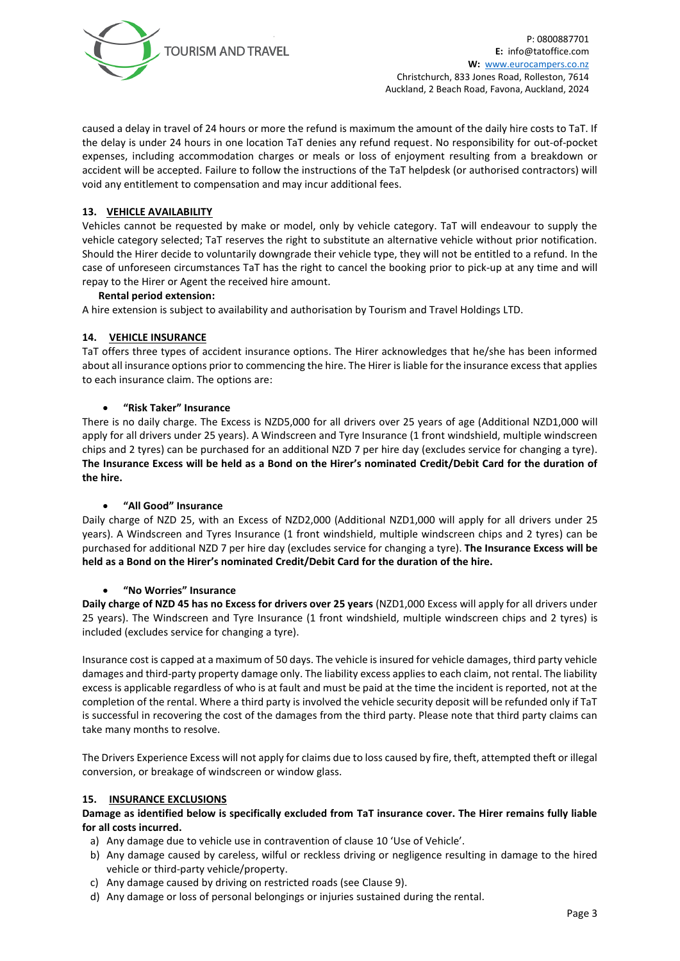

P: 0800887701 **E:** [info@tatoffice.com](mailto:info@tatoffice.com) **W:** [www.eurocampers.co.nz](http://www.eurocampers.co.nz/) Christchurch, 833 Jones Road, Rolleston, 7614 Auckland, 2 Beach Road, Favona, Auckland, 2024

caused a delay in travel of 24 hours or more the refund is maximum the amount of the daily hire costs to TaT. If the delay is under 24 hours in one location TaT denies any refund request. No responsibility for out-of-pocket expenses, including accommodation charges or meals or loss of enjoyment resulting from a breakdown or accident will be accepted. Failure to follow the instructions of the TaT helpdesk (or authorised contractors) will void any entitlement to compensation and may incur additional fees.

#### **13. VEHICLE AVAILABILITY**

Vehicles cannot be requested by make or model, only by vehicle category. TaT will endeavour to supply the vehicle category selected; TaT reserves the right to substitute an alternative vehicle without prior notification. Should the Hirer decide to voluntarily downgrade their vehicle type, they will not be entitled to a refund. In the case of unforeseen circumstances TaT has the right to cancel the booking prior to pick-up at any time and will repay to the Hirer or Agent the received hire amount.

#### **Rental period extension:**

A hire extension is subject to availability and authorisation by Tourism and Travel Holdings LTD.

## **14. VEHICLE INSURANCE**

TaT offers three types of accident insurance options. The Hirer acknowledges that he/she has been informed about all insurance options prior to commencing the hire. The Hirer is liable for the insurance excess that applies to each insurance claim. The options are:

## • **"Risk Taker" Insurance**

There is no daily charge. The Excess is NZD5,000 for all drivers over 25 years of age (Additional NZD1,000 will apply for all drivers under 25 years). A Windscreen and Tyre Insurance (1 front windshield, multiple windscreen chips and 2 tyres) can be purchased for an additional NZD 7 per hire day (excludes service for changing a tyre). **The Insurance Excess will be held as a Bond on the Hirer's nominated Credit/Debit Card for the duration of the hire.**

#### • **"All Good" Insurance**

Daily charge of NZD 25, with an Excess of NZD2,000 (Additional NZD1,000 will apply for all drivers under 25 years). A Windscreen and Tyres Insurance (1 front windshield, multiple windscreen chips and 2 tyres) can be purchased for additional NZD 7 per hire day (excludes service for changing a tyre). **The Insurance Excess will be held as a Bond on the Hirer's nominated Credit/Debit Card for the duration of the hire.**

#### • **"No Worries" Insurance**

**Daily charge of NZD 45 has no Excess for drivers over 25 years** (NZD1,000 Excess will apply for all drivers under 25 years). The Windscreen and Tyre Insurance (1 front windshield, multiple windscreen chips and 2 tyres) is included (excludes service for changing a tyre).

Insurance cost is capped at a maximum of 50 days. The vehicle is insured for vehicle damages, third party vehicle damages and third-party property damage only. The liability excess applies to each claim, not rental. The liability excess is applicable regardless of who is at fault and must be paid at the time the incident is reported, not at the completion of the rental. Where a third party is involved the vehicle security deposit will be refunded only if TaT is successful in recovering the cost of the damages from the third party. Please note that third party claims can take many months to resolve.

The Drivers Experience Excess will not apply for claims due to loss caused by fire, theft, attempted theft or illegal conversion, or breakage of windscreen or window glass.

#### **15. INSURANCE EXCLUSIONS**

**Damage as identified below is specifically excluded from TaT insurance cover. The Hirer remains fully liable for all costs incurred.**

- a) Any damage due to vehicle use in contravention of clause 10 'Use of Vehicle'.
- b) Any damage caused by careless, wilful or reckless driving or negligence resulting in damage to the hired vehicle or third-party vehicle/property.
- c) Any damage caused by driving on restricted roads (see Clause 9).
- d) Any damage or loss of personal belongings or injuries sustained during the rental.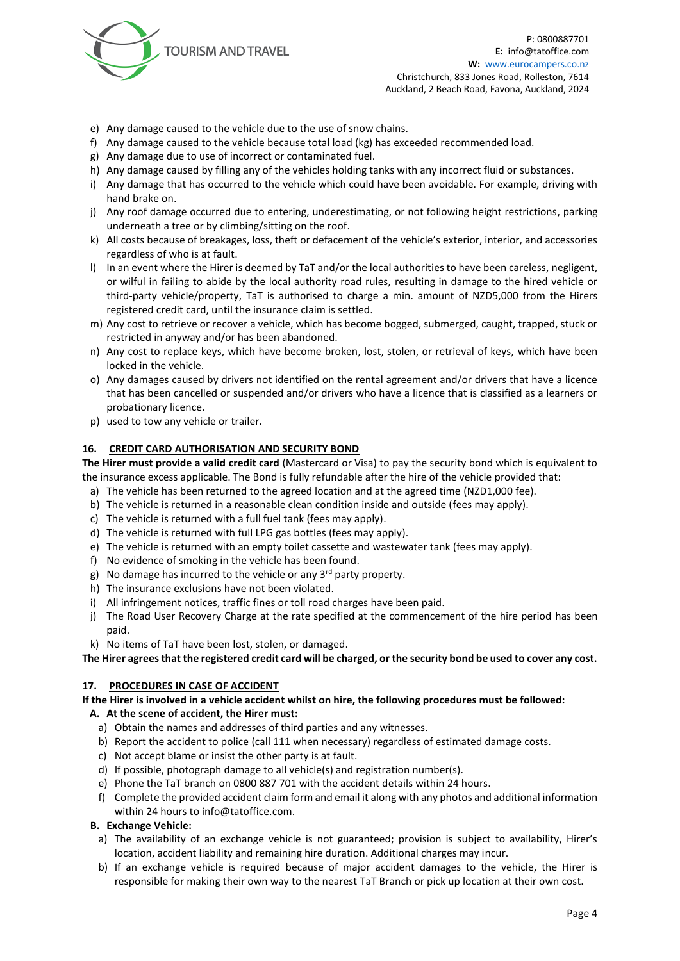

- e) Any damage caused to the vehicle due to the use of snow chains.
- f) Any damage caused to the vehicle because total load (kg) has exceeded recommended load.
- g) Any damage due to use of incorrect or contaminated fuel.
- h) Any damage caused by filling any of the vehicles holding tanks with any incorrect fluid or substances.
- i) Any damage that has occurred to the vehicle which could have been avoidable. For example, driving with hand brake on.
- j) Any roof damage occurred due to entering, underestimating, or not following height restrictions, parking underneath a tree or by climbing/sitting on the roof.
- k) All costs because of breakages, loss, theft or defacement of the vehicle's exterior, interior, and accessories regardless of who is at fault.
- l) In an event where the Hirer is deemed by TaT and/or the local authorities to have been careless, negligent, or wilful in failing to abide by the local authority road rules, resulting in damage to the hired vehicle or third-party vehicle/property, TaT is authorised to charge a min. amount of NZD5,000 from the Hirers registered credit card, until the insurance claim is settled.
- m) Any cost to retrieve or recover a vehicle, which has become bogged, submerged, caught, trapped, stuck or restricted in anyway and/or has been abandoned.
- n) Any cost to replace keys, which have become broken, lost, stolen, or retrieval of keys, which have been locked in the vehicle.
- o) Any damages caused by drivers not identified on the rental agreement and/or drivers that have a licence that has been cancelled or suspended and/or drivers who have a licence that is classified as a learners or probationary licence.
- p) used to tow any vehicle or trailer.

## **16. CREDIT CARD AUTHORISATION AND SECURITY BOND**

**The Hirer must provide a valid credit card** (Mastercard or Visa) to pay the security bond which is equivalent to the insurance excess applicable. The Bond is fully refundable after the hire of the vehicle provided that:

- a) The vehicle has been returned to the agreed location and at the agreed time (NZD1,000 fee).
- b) The vehicle is returned in a reasonable clean condition inside and outside (fees may apply).
- c) The vehicle is returned with a full fuel tank (fees may apply).
- d) The vehicle is returned with full LPG gas bottles (fees may apply).
- e) The vehicle is returned with an empty toilet cassette and wastewater tank (fees may apply).
- f) No evidence of smoking in the vehicle has been found.
- g) No damage has incurred to the vehicle or any  $3^{rd}$  party property.
- h) The insurance exclusions have not been violated.
- i) All infringement notices, traffic fines or toll road charges have been paid.
- j) The Road User Recovery Charge at the rate specified at the commencement of the hire period has been paid.
- k) No items of TaT have been lost, stolen, or damaged.

**The Hirer agrees that the registered credit card will be charged, or the security bond be used to cover any cost.** 

# **17. PROCEDURES IN CASE OF ACCIDENT**

#### **If the Hirer is involved in a vehicle accident whilst on hire, the following procedures must be followed:**

# **A. At the scene of accident, the Hirer must:**

- a) Obtain the names and addresses of third parties and any witnesses.
- b) Report the accident to police (call 111 when necessary) regardless of estimated damage costs.
- c) Not accept blame or insist the other party is at fault.
- d) If possible, photograph damage to all vehicle(s) and registration number(s).
- e) Phone the TaT branch on 0800 887 701 with the accident details within 24 hours.
- f) Complete the provided accident claim form and email it along with any photos and additional information within 24 hours to info@tatoffice.com.

# **B. Exchange Vehicle:**

- a) The availability of an exchange vehicle is not guaranteed; provision is subject to availability, Hirer's location, accident liability and remaining hire duration. Additional charges may incur.
- b) If an exchange vehicle is required because of major accident damages to the vehicle, the Hirer is responsible for making their own way to the nearest TaT Branch or pick up location at their own cost.